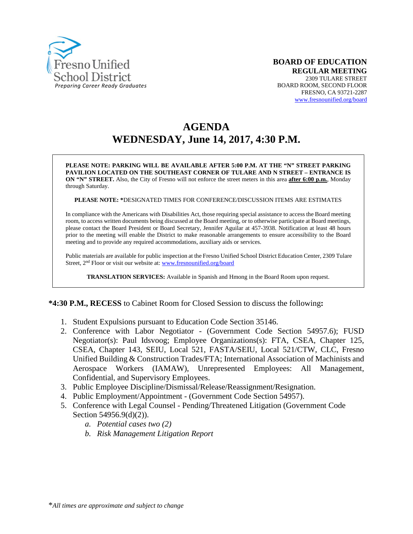

# **AGENDA WEDNESDAY, June 14, 2017, 4:30 P.M.**

**PLEASE NOTE: PARKING WILL BE AVAILABLE AFTER 5:00 P.M. AT THE "N" STREET PARKING PAVILION LOCATED ON THE SOUTHEAST CORNER OF TULARE AND N STREET – ENTRANCE IS ON "N" STREET.** Also, the City of Fresno will not enforce the street meters in this area **after 6:00 p.m.**, Monday through Saturday.

**PLEASE NOTE: \***DESIGNATED TIMES FOR CONFERENCE/DISCUSSION ITEMS ARE ESTIMATES

In compliance with the Americans with Disabilities Act, those requiring special assistance to access the Board meeting room, to access written documents being discussed at the Board meeting, or to otherwise participate at Board meetings, please contact the Board President or Board Secretary, Jennifer Aguilar at 457-3938. Notification at least 48 hours prior to the meeting will enable the District to make reasonable arrangements to ensure accessibility to the Board meeting and to provide any required accommodations, auxiliary aids or services.

Public materials are available for public inspection at the Fresno Unified School District Education Center, 2309 Tulare Street, 2<sup>nd</sup> Floor or visit our website at: [www.fresnounified.org/board](http://www.fresnounified.org/board)

**TRANSLATION SERVICES:** Available in Spanish and Hmong in the Board Room upon request.

#### **\*4:30 P.M., RECESS** to Cabinet Room for Closed Session to discuss the following**:**

- 1. Student Expulsions pursuant to Education Code Section 35146.
- 2. Conference with Labor Negotiator (Government Code Section 54957.6); FUSD Negotiator(s): Paul Idsvoog; Employee Organizations(s): FTA, CSEA, Chapter 125, CSEA, Chapter 143, SEIU, Local 521, FASTA/SEIU, Local 521/CTW, CLC, Fresno Unified Building & Construction Trades/FTA; International Association of Machinists and Aerospace Workers (IAMAW), Unrepresented Employees: All Management, Confidential, and Supervisory Employees.
- 3. Public Employee Discipline/Dismissal/Release/Reassignment/Resignation.
- 4. Public Employment/Appointment (Government Code Section 54957).
- 5. Conference with Legal Counsel Pending/Threatened Litigation (Government Code Section 54956.9(d)(2)).
	- *a. Potential cases two (2)*
	- *b. Risk Management Litigation Report*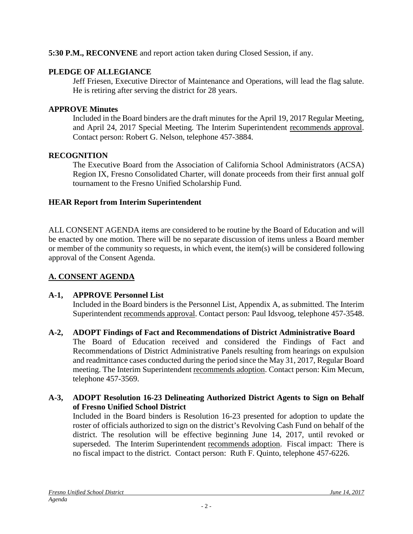### **5:30 P.M., RECONVENE** and report action taken during Closed Session, if any.

#### **PLEDGE OF ALLEGIANCE**

Jeff Friesen, Executive Director of Maintenance and Operations, will lead the flag salute. He is retiring after serving the district for 28 years.

#### **APPROVE Minutes**

Included in the Board binders are the draft minutes for the April 19, 2017 Regular Meeting, and April 24, 2017 Special Meeting. The Interim Superintendent recommends approval. Contact person: Robert G. Nelson, telephone 457-3884.

#### **RECOGNITION**

The Executive Board from the Association of California School Administrators (ACSA) Region IX, Fresno Consolidated Charter, will donate proceeds from their first annual golf tournament to the Fresno Unified Scholarship Fund.

#### **HEAR Report from Interim Superintendent**

ALL CONSENT AGENDA items are considered to be routine by the Board of Education and will be enacted by one motion. There will be no separate discussion of items unless a Board member or member of the community so requests, in which event, the item(s) will be considered following approval of the Consent Agenda.

## **A. CONSENT AGENDA**

#### **A-1, APPROVE Personnel List**

Included in the Board binders is the Personnel List, Appendix A, as submitted. The Interim Superintendent recommends approval. Contact person: Paul Idsvoog, telephone 457-3548.

**A-2, ADOPT Findings of Fact and Recommendations of District Administrative Board** The Board of Education received and considered the Findings of Fact and Recommendations of District Administrative Panels resulting from hearings on expulsion and readmittance cases conducted during the period since the May 31, 2017, Regular Board meeting. The Interim Superintendent recommends adoption. Contact person: Kim Mecum, telephone 457-3569.

#### **A-3, ADOPT Resolution 16-23 Delineating Authorized District Agents to Sign on Behalf of Fresno Unified School District**

Included in the Board binders is Resolution 16-23 presented for adoption to update the roster of officials authorized to sign on the district's Revolving Cash Fund on behalf of the district. The resolution will be effective beginning June 14, 2017, until revoked or superseded. The Interim Superintendent recommends adoption. Fiscal impact: There is no fiscal impact to the district. Contact person: Ruth F. Quinto, telephone 457-6226.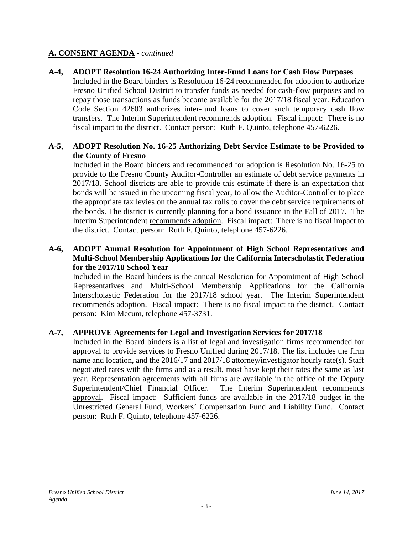**A-4, ADOPT Resolution 16-24 Authorizing Inter-Fund Loans for Cash Flow Purposes** Included in the Board binders is Resolution 16-24 recommended for adoption to authorize Fresno Unified School District to transfer funds as needed for cash-flow purposes and to repay those transactions as funds become available for the 2017/18 fiscal year. Education Code Section 42603 authorizes inter-fund loans to cover such temporary cash flow transfers. The Interim Superintendent recommends adoption. Fiscal impact: There is no fiscal impact to the district. Contact person: Ruth F. Quinto, telephone 457-6226.

#### **A-5, ADOPT Resolution No. 16-25 Authorizing Debt Service Estimate to be Provided to the County of Fresno**

Included in the Board binders and recommended for adoption is Resolution No. 16-25 to provide to the Fresno County Auditor-Controller an estimate of debt service payments in 2017/18. School districts are able to provide this estimate if there is an expectation that bonds will be issued in the upcoming fiscal year, to allow the Auditor-Controller to place the appropriate tax levies on the annual tax rolls to cover the debt service requirements of the bonds. The district is currently planning for a bond issuance in the Fall of 2017. The Interim Superintendent recommends adoption. Fiscal impact: There is no fiscal impact to the district. Contact person: Ruth F. Quinto, telephone 457-6226.

#### **A-6, ADOPT Annual Resolution for Appointment of High School Representatives and Multi-School Membership Applications for the California Interscholastic Federation for the 2017/18 School Year**

Included in the Board binders is the annual Resolution for Appointment of High School Representatives and Multi-School Membership Applications for the California Interscholastic Federation for the 2017/18 school year. The Interim Superintendent recommends adoption. Fiscal impact: There is no fiscal impact to the district. Contact person: Kim Mecum, telephone 457-3731.

#### **A-7, APPROVE Agreements for Legal and Investigation Services for 2017/18**

Included in the Board binders is a list of legal and investigation firms recommended for approval to provide services to Fresno Unified during 2017/18. The list includes the firm name and location, and the 2016/17 and 2017/18 attorney/investigator hourly rate(s). Staff negotiated rates with the firms and as a result, most have kept their rates the same as last year. Representation agreements with all firms are available in the office of the Deputy Superintendent/Chief Financial Officer. The Interim Superintendent recommends approval. Fiscal impact: Sufficient funds are available in the 2017/18 budget in the Unrestricted General Fund, Workers' Compensation Fund and Liability Fund. Contact person: Ruth F. Quinto, telephone 457-6226.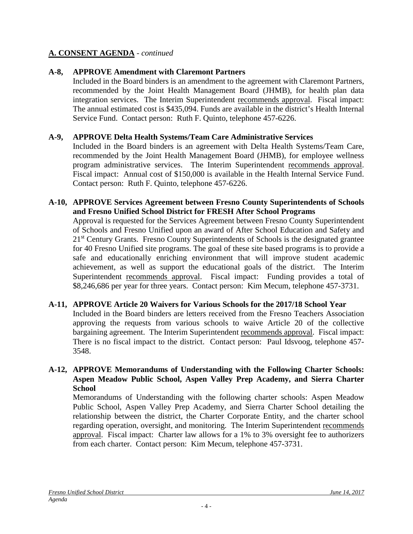#### **A-8, APPROVE Amendment with Claremont Partners**

Included in the Board binders is an amendment to the agreement with Claremont Partners, recommended by the Joint Health Management Board (JHMB), for health plan data integration services. The Interim Superintendent recommends approval. Fiscal impact: The annual estimated cost is \$435,094. Funds are available in the district's Health Internal Service Fund. Contact person: Ruth F. Quinto, telephone 457-6226.

#### **A-9, APPROVE Delta Health Systems/Team Care Administrative Services**

Included in the Board binders is an agreement with Delta Health Systems/Team Care, recommended by the Joint Health Management Board (JHMB), for employee wellness program administrative services. The Interim Superintendent recommends approval. Fiscal impact: Annual cost of \$150,000 is available in the Health Internal Service Fund. Contact person: Ruth F. Quinto, telephone 457-6226.

#### **A-10, APPROVE Services Agreement between Fresno County Superintendents of Schools and Fresno Unified School District for FRESH After School Programs**

Approval is requested for the Services Agreement between Fresno County Superintendent of Schools and Fresno Unified upon an award of After School Education and Safety and 21<sup>st</sup> Century Grants. Fresno County Superintendents of Schools is the designated grantee for 40 Fresno Unified site programs. The goal of these site based programs is to provide a safe and educationally enriching environment that will improve student academic achievement, as well as support the educational goals of the district. The Interim Superintendent recommends approval. Fiscal impact: Funding provides a total of \$8,246,686 per year for three years. Contact person: Kim Mecum, telephone 457-3731.

#### **A-11, APPROVE Article 20 Waivers for Various Schools for the 2017/18 School Year**

Included in the Board binders are letters received from the Fresno Teachers Association approving the requests from various schools to waive Article 20 of the collective bargaining agreement. The Interim Superintendent recommends approval. Fiscal impact: There is no fiscal impact to the district. Contact person: Paul Idsvoog, telephone 457- 3548.

#### **A-12, APPROVE Memorandums of Understanding with the Following Charter Schools: Aspen Meadow Public School, Aspen Valley Prep Academy, and Sierra Charter School**

Memorandums of Understanding with the following charter schools: Aspen Meadow Public School, Aspen Valley Prep Academy, and Sierra Charter School detailing the relationship between the district, the Charter Corporate Entity, and the charter school regarding operation, oversight, and monitoring. The Interim Superintendent recommends approval. Fiscal impact: Charter law allows for a 1% to 3% oversight fee to authorizers from each charter. Contact person: Kim Mecum, telephone 457-3731.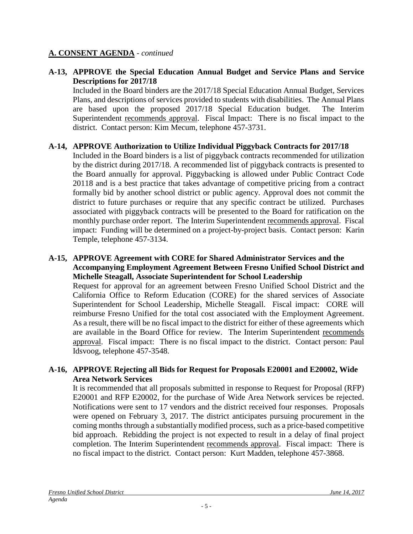#### **A-13, APPROVE the Special Education Annual Budget and Service Plans and Service Descriptions for 2017/18**

Included in the Board binders are the 2017/18 Special Education Annual Budget, Services Plans, and descriptions of services provided to students with disabilities. The Annual Plans are based upon the proposed 2017/18 Special Education budget. The Interim Superintendent recommends approval. Fiscal Impact: There is no fiscal impact to the district. Contact person: Kim Mecum, telephone 457-3731.

#### **A-14, APPROVE Authorization to Utilize Individual Piggyback Contracts for 2017/18**

Included in the Board binders is a list of piggyback contracts recommended for utilization by the district during 2017/18. A recommended list of piggyback contracts is presented to the Board annually for approval. Piggybacking is allowed under Public Contract Code 20118 and is a best practice that takes advantage of competitive pricing from a contract formally bid by another school district or public agency. Approval does not commit the district to future purchases or require that any specific contract be utilized. Purchases associated with piggyback contracts will be presented to the Board for ratification on the monthly purchase order report. The Interim Superintendent recommends approval. Fiscal impact: Funding will be determined on a project-by-project basis. Contact person: Karin Temple, telephone 457-3134.

#### **A-15, APPROVE Agreement with CORE for Shared Administrator Services and the Accompanying Employment Agreement Between Fresno Unified School District and Michelle Steagall, Associate Superintendent for School Leadership**

Request for approval for an agreement between Fresno Unified School District and the California Office to Reform Education (CORE) for the shared services of Associate Superintendent for School Leadership, Michelle Steagall. Fiscal impact: CORE will reimburse Fresno Unified for the total cost associated with the Employment Agreement. As a result, there will be no fiscal impact to the district for either of these agreements which are available in the Board Office for review. The Interim Superintendent recommends approval. Fiscal impact: There is no fiscal impact to the district. Contact person: Paul Idsvoog, telephone 457-3548.

#### **A-16, APPROVE Rejecting all Bids for Request for Proposals E20001 and E20002, Wide Area Network Services**

It is recommended that all proposals submitted in response to Request for Proposal (RFP) E20001 and RFP E20002, for the purchase of Wide Area Network services be rejected. Notifications were sent to 17 vendors and the district received four responses. Proposals were opened on February 3, 2017. The district anticipates pursuing procurement in the coming months through a substantially modified process, such as a price-based competitive bid approach. Rebidding the project is not expected to result in a delay of final project completion. The Interim Superintendent recommends approval. Fiscal impact: There is no fiscal impact to the district. Contact person: Kurt Madden, telephone 457-3868.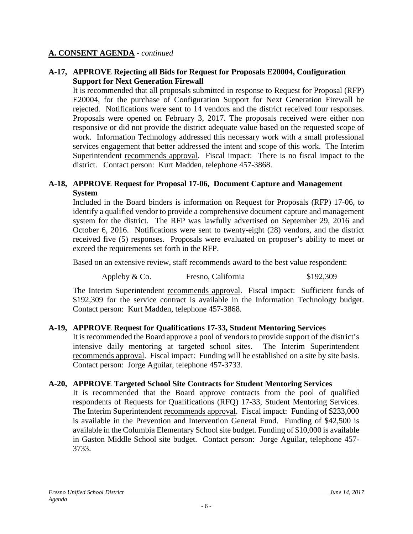#### **A-17, APPROVE Rejecting all Bids for Request for Proposals E20004, Configuration Support for Next Generation Firewall**

It is recommended that all proposals submitted in response to Request for Proposal (RFP) E20004, for the purchase of Configuration Support for Next Generation Firewall be rejected. Notifications were sent to 14 vendors and the district received four responses. Proposals were opened on February 3, 2017. The proposals received were either non responsive or did not provide the district adequate value based on the requested scope of work. Information Technology addressed this necessary work with a small professional services engagement that better addressed the intent and scope of this work. The Interim Superintendent recommends approval. Fiscal impact: There is no fiscal impact to the district. Contact person: Kurt Madden, telephone 457-3868.

#### **A-18, APPROVE Request for Proposal 17-06, Document Capture and Management System**

Included in the Board binders is information on Request for Proposals (RFP) 17-06, to identify a qualified vendor to provide a comprehensive document capture and management system for the district. The RFP was lawfully advertised on September 29, 2016 and October 6, 2016. Notifications were sent to twenty-eight (28) vendors, and the district received five (5) responses. Proposals were evaluated on proposer's ability to meet or exceed the requirements set forth in the RFP.

Based on an extensive review, staff recommends award to the best value respondent:

Appleby & Co. Fresno, California  $$192,309$ 

The Interim Superintendent recommends approval. Fiscal impact: Sufficient funds of \$192,309 for the service contract is available in the Information Technology budget. Contact person: Kurt Madden, telephone 457-3868.

#### **A-19, APPROVE Request for Qualifications 17-33, Student Mentoring Services**

It is recommended the Board approve a pool of vendors to provide support of the district's intensive daily mentoring at targeted school sites. The Interim Superintendent recommends approval. Fiscal impact: Funding will be established on a site by site basis. Contact person: Jorge Aguilar, telephone 457-3733.

#### **A-20, APPROVE Targeted School Site Contracts for Student Mentoring Services**

It is recommended that the Board approve contracts from the pool of qualified respondents of Requests for Qualifications (RFQ) 17-33, Student Mentoring Services. The Interim Superintendent recommends approval. Fiscal impact: Funding of \$233,000 is available in the Prevention and Intervention General Fund. Funding of \$42,500 is available in the Columbia Elementary School site budget. Funding of \$10,000 is available in Gaston Middle School site budget. Contact person: Jorge Aguilar, telephone 457- 3733.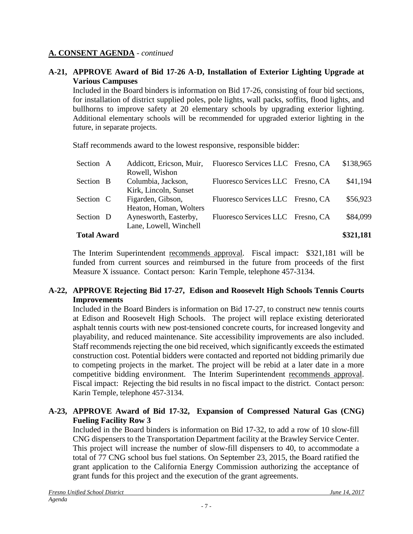#### **A-21, APPROVE Award of Bid 17-26 A-D, Installation of Exterior Lighting Upgrade at Various Campuses**

Included in the Board binders is information on Bid 17-26, consisting of four bid sections, for installation of district supplied poles, pole lights, wall packs, soffits, flood lights, and bullhorns to improve safety at 20 elementary schools by upgrading exterior lighting. Additional elementary schools will be recommended for upgraded exterior lighting in the future, in separate projects.

Staff recommends award to the lowest responsive, responsible bidder:

| <b>Total Award</b> |                          |                                   | \$321,181 |
|--------------------|--------------------------|-----------------------------------|-----------|
|                    | Lane, Lowell, Winchell   |                                   |           |
| Section D          | Aynesworth, Easterby,    | Fluoresco Services LLC Fresno, CA | \$84,099  |
|                    | Heaton, Homan, Wolters   |                                   |           |
| Section C          | Figarden, Gibson,        | Fluoresco Services LLC Fresno, CA | \$56,923  |
|                    | Kirk, Lincoln, Sunset    |                                   |           |
| Section B          | Columbia, Jackson,       | Fluoresco Services LLC Fresno, CA | \$41,194  |
|                    | Rowell, Wishon           |                                   |           |
| Section A          | Addicott, Ericson, Muir, | Fluoresco Services LLC Fresno, CA | \$138,965 |

The Interim Superintendent recommends approval. Fiscal impact: \$321,181 will be funded from current sources and reimbursed in the future from proceeds of the first Measure X issuance. Contact person: Karin Temple, telephone 457-3134.

## **A-22, APPROVE Rejecting Bid 17-27, Edison and Roosevelt High Schools Tennis Courts Improvements**

Included in the Board Binders is information on Bid 17-27, to construct new tennis courts at Edison and Roosevelt High Schools. The project will replace existing deteriorated asphalt tennis courts with new post-tensioned concrete courts, for increased longevity and playability, and reduced maintenance. Site accessibility improvements are also included. Staff recommends rejecting the one bid received, which significantly exceeds the estimated construction cost. Potential bidders were contacted and reported not bidding primarily due to competing projects in the market. The project will be rebid at a later date in a more competitive bidding environment. The Interim Superintendent recommends approval. Fiscal impact: Rejecting the bid results in no fiscal impact to the district. Contact person: Karin Temple, telephone 457-3134.

#### **A-23, APPROVE Award of Bid 17-32, Expansion of Compressed Natural Gas (CNG) Fueling Facility Row 3**

Included in the Board binders is information on Bid 17-32, to add a row of 10 slow-fill CNG dispensers to the Transportation Department facility at the Brawley Service Center. This project will increase the number of slow-fill dispensers to 40, to accommodate a total of 77 CNG school bus fuel stations. On September 23, 2015, the Board ratified the grant application to the California Energy Commission authorizing the acceptance of grant funds for this project and the execution of the grant agreements.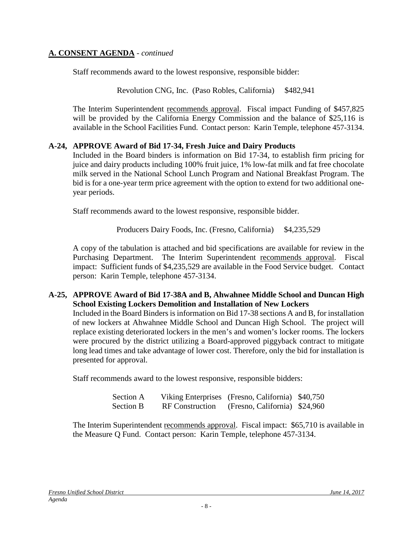Staff recommends award to the lowest responsive, responsible bidder:

Revolution CNG, Inc. (Paso Robles, California) \$482,941

The Interim Superintendent recommends approval. Fiscal impact Funding of \$457,825 will be provided by the California Energy Commission and the balance of \$25,116 is available in the School Facilities Fund. Contact person: Karin Temple, telephone 457-3134.

#### **A-24, APPROVE Award of Bid 17-34, Fresh Juice and Dairy Products**

Included in the Board binders is information on Bid 17-34, to establish firm pricing for juice and dairy products including 100% fruit juice, 1% low-fat milk and fat free chocolate milk served in the National School Lunch Program and National Breakfast Program. The bid is for a one-year term price agreement with the option to extend for two additional oneyear periods.

Staff recommends award to the lowest responsive, responsible bidder.

Producers Dairy Foods, Inc. (Fresno, California) \$4,235,529

A copy of the tabulation is attached and bid specifications are available for review in the Purchasing Department. The Interim Superintendent recommends approval. Fiscal impact: Sufficient funds of \$4,235,529 are available in the Food Service budget. Contact person: Karin Temple, telephone 457-3134.

#### **A-25, APPROVE Award of Bid 17-38A and B, Ahwahnee Middle School and Duncan High School Existing Lockers Demolition and Installation of New Lockers**

Included in the Board Binders is information on Bid 17-38 sections A and B, for installation of new lockers at Ahwahnee Middle School and Duncan High School. The project will replace existing deteriorated lockers in the men's and women's locker rooms. The lockers were procured by the district utilizing a Board-approved piggyback contract to mitigate long lead times and take advantage of lower cost. Therefore, only the bid for installation is presented for approval.

Staff recommends award to the lowest responsive, responsible bidders:

| Section A        |                        | Viking Enterprises (Fresno, California) \$40,750 |  |
|------------------|------------------------|--------------------------------------------------|--|
| <b>Section B</b> | <b>RF</b> Construction | (Fresno, California) \$24,960                    |  |

The Interim Superintendent recommends approval. Fiscal impact: \$65,710 is available in the Measure Q Fund. Contact person: Karin Temple, telephone 457-3134.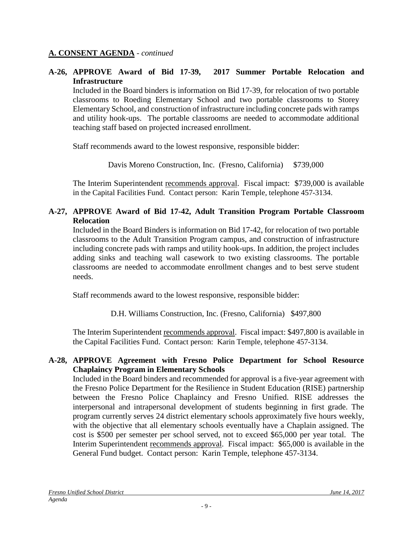**A-26, APPROVE Award of Bid 17-39, 2017 Summer Portable Relocation and Infrastructure**

Included in the Board binders is information on Bid 17-39, for relocation of two portable classrooms to Roeding Elementary School and two portable classrooms to Storey Elementary School, and construction of infrastructure including concrete pads with ramps and utility hook-ups. The portable classrooms are needed to accommodate additional teaching staff based on projected increased enrollment.

Staff recommends award to the lowest responsive, responsible bidder:

Davis Moreno Construction, Inc. (Fresno, California) \$739,000

The Interim Superintendent recommends approval. Fiscal impact: \$739,000 is available in the Capital Facilities Fund. Contact person: Karin Temple, telephone 457-3134.

## **A-27, APPROVE Award of Bid 17-42, Adult Transition Program Portable Classroom Relocation**

Included in the Board Binders is information on Bid 17-42, for relocation of two portable classrooms to the Adult Transition Program campus, and construction of infrastructure including concrete pads with ramps and utility hook-ups. In addition, the project includes adding sinks and teaching wall casework to two existing classrooms. The portable classrooms are needed to accommodate enrollment changes and to best serve student needs.

Staff recommends award to the lowest responsive, responsible bidder:

D.H. Williams Construction, Inc. (Fresno, California) \$497,800

The Interim Superintendent recommends approval. Fiscal impact: \$497,800 is available in the Capital Facilities Fund. Contact person: Karin Temple, telephone 457-3134.

#### **A-28, APPROVE Agreement with Fresno Police Department for School Resource Chaplaincy Program in Elementary Schools**

Included in the Board binders and recommended for approval is a five-year agreement with the Fresno Police Department for the Resilience in Student Education (RISE) partnership between the Fresno Police Chaplaincy and Fresno Unified. RISE addresses the interpersonal and intrapersonal development of students beginning in first grade. The program currently serves 24 district elementary schools approximately five hours weekly, with the objective that all elementary schools eventually have a Chaplain assigned. The cost is \$500 per semester per school served, not to exceed \$65,000 per year total. The Interim Superintendent recommends approval. Fiscal impact: \$65,000 is available in the General Fund budget. Contact person: Karin Temple, telephone 457-3134.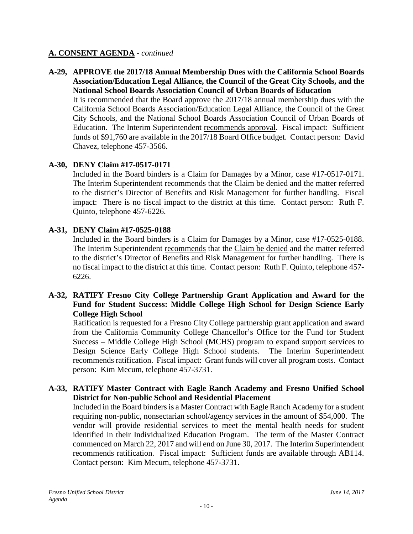**A-29, APPROVE the 2017/18 Annual Membership Dues with the California School Boards Association/Education Legal Alliance, the Council of the Great City Schools, and the National School Boards Association Council of Urban Boards of Education**

It is recommended that the Board approve the 2017/18 annual membership dues with the California School Boards Association/Education Legal Alliance, the Council of the Great City Schools, and the National School Boards Association Council of Urban Boards of Education. The Interim Superintendent recommends approval. Fiscal impact: Sufficient funds of \$91,760 are available in the 2017/18 Board Office budget. Contact person: David Chavez, telephone 457-3566.

## **A-30, DENY Claim #17-0517-0171**

Included in the Board binders is a Claim for Damages by a Minor, case #17-0517-0171. The Interim Superintendent recommends that the Claim be denied and the matter referred to the district's Director of Benefits and Risk Management for further handling. Fiscal impact: There is no fiscal impact to the district at this time. Contact person: Ruth F. Quinto, telephone 457-6226.

## **A-31, DENY Claim #17-0525-0188**

Included in the Board binders is a Claim for Damages by a Minor, case #17-0525-0188. The Interim Superintendent recommends that the Claim be denied and the matter referred to the district's Director of Benefits and Risk Management for further handling. There is no fiscal impact to the district at this time. Contact person: Ruth F. Quinto, telephone 457- 6226.

#### **A-32, RATIFY Fresno City College Partnership Grant Application and Award for the Fund for Student Success: Middle College High School for Design Science Early College High School**

Ratification is requested for a Fresno City College partnership grant application and award from the California Community College Chancellor's Office for the Fund for Student Success – Middle College High School (MCHS) program to expand support services to Design Science Early College High School students. The Interim Superintendent recommends ratification. Fiscal impact: Grant funds will cover all program costs. Contact person: Kim Mecum, telephone 457-3731.

#### **A-33, RATIFY Master Contract with Eagle Ranch Academy and Fresno Unified School District for Non-public School and Residential Placement**

Included in the Board binders is a Master Contract with Eagle Ranch Academy for a student requiring non-public, nonsectarian school/agency services in the amount of \$54,000. The vendor will provide residential services to meet the mental health needs for student identified in their Individualized Education Program. The term of the Master Contract commenced on March 22, 2017 and will end on June 30, 2017. The Interim Superintendent recommends ratification. Fiscal impact: Sufficient funds are available through AB114. Contact person: Kim Mecum, telephone 457-3731.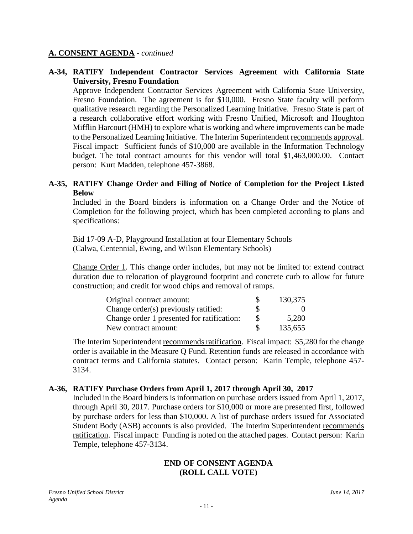#### **A-34, RATIFY Independent Contractor Services Agreement with California State University, Fresno Foundation**

Approve Independent Contractor Services Agreement with California State University, Fresno Foundation. The agreement is for \$10,000. Fresno State faculty will perform qualitative research regarding the Personalized Learning Initiative. Fresno State is part of a research collaborative effort working with Fresno Unified, Microsoft and Houghton Mifflin Harcourt (HMH) to explore what is working and where improvements can be made to the Personalized Learning Initiative. The Interim Superintendent recommends approval. Fiscal impact: Sufficient funds of \$10,000 are available in the Information Technology budget. The total contract amounts for this vendor will total \$1,463,000.00. Contact person: Kurt Madden, telephone 457-3868.

#### **A-35, RATIFY Change Order and Filing of Notice of Completion for the Project Listed Below**

Included in the Board binders is information on a Change Order and the Notice of Completion for the following project, which has been completed according to plans and specifications:

Bid 17-09 A-D, Playground Installation at four Elementary Schools (Calwa, Centennial, Ewing, and Wilson Elementary Schools)

Change Order 1. This change order includes, but may not be limited to: extend contract duration due to relocation of playground footprint and concrete curb to allow for future construction; and credit for wood chips and removal of ramps.

| Original contract amount:                  | Ж        | 130,375 |
|--------------------------------------------|----------|---------|
| Change order(s) previously ratified:       | S        |         |
| Change order 1 presented for ratification: | <b>S</b> | 5,280   |
| New contract amount:                       |          | 135,655 |

The Interim Superintendent recommends ratification. Fiscal impact: \$5,280 for the change order is available in the Measure Q Fund. Retention funds are released in accordance with contract terms and California statutes. Contact person: Karin Temple, telephone 457- 3134.

#### **A-36, RATIFY Purchase Orders from April 1, 2017 through April 30, 2017**

Included in the Board binders is information on purchase orders issued from April 1, 2017, through April 30, 2017. Purchase orders for \$10,000 or more are presented first, followed by purchase orders for less than \$10,000. A list of purchase orders issued for Associated Student Body (ASB) accounts is also provided. The Interim Superintendent recommends ratification. Fiscal impact: Funding is noted on the attached pages. Contact person: Karin Temple, telephone 457-3134.

#### **END OF CONSENT AGENDA (ROLL CALL VOTE)**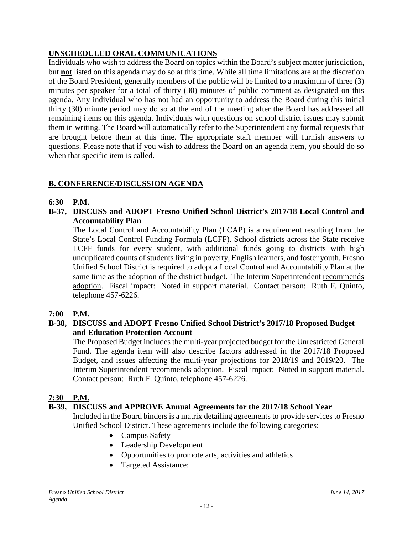# **UNSCHEDULED ORAL COMMUNICATIONS**

Individuals who wish to address the Board on topics within the Board's subject matter jurisdiction, but **not** listed on this agenda may do so at this time. While all time limitations are at the discretion of the Board President, generally members of the public will be limited to a maximum of three (3) minutes per speaker for a total of thirty (30) minutes of public comment as designated on this agenda. Any individual who has not had an opportunity to address the Board during this initial thirty (30) minute period may do so at the end of the meeting after the Board has addressed all remaining items on this agenda. Individuals with questions on school district issues may submit them in writing. The Board will automatically refer to the Superintendent any formal requests that are brought before them at this time. The appropriate staff member will furnish answers to questions. Please note that if you wish to address the Board on an agenda item, you should do so when that specific item is called.

# **B. CONFERENCE/DISCUSSION AGENDA**

#### **6:30 P.M.**

**B-37, DISCUSS and ADOPT Fresno Unified School District's 2017/18 Local Control and Accountability Plan**

The Local Control and Accountability Plan (LCAP) is a requirement resulting from the State's Local Control Funding Formula (LCFF). School districts across the State receive LCFF funds for every student, with additional funds going to districts with high unduplicated counts of students living in poverty, English learners, and foster youth. Fresno Unified School District is required to adopt a Local Control and Accountability Plan at the same time as the adoption of the district budget. The Interim Superintendent recommends adoption. Fiscal impact: Noted in support material. Contact person: Ruth F. Quinto, telephone 457-6226.

## **7:00 P.M.**

#### **B-38, DISCUSS and ADOPT Fresno Unified School District's 2017/18 Proposed Budget and Education Protection Account**

The Proposed Budget includes the multi-year projected budget for the Unrestricted General Fund. The agenda item will also describe factors addressed in the 2017/18 Proposed Budget, and issues affecting the multi-year projections for 2018/19 and 2019/20. The Interim Superintendent recommends adoption. Fiscal impact: Noted in support material. Contact person: Ruth F. Quinto, telephone 457-6226.

## **7:30 P.M.**

## **B-39, DISCUSS and APPROVE Annual Agreements for the 2017/18 School Year**

Included in the Board binders is a matrix detailing agreements to provide services to Fresno Unified School District. These agreements include the following categories:

- Campus Safety
- Leadership Development
- Opportunities to promote arts, activities and athletics
- Targeted Assistance: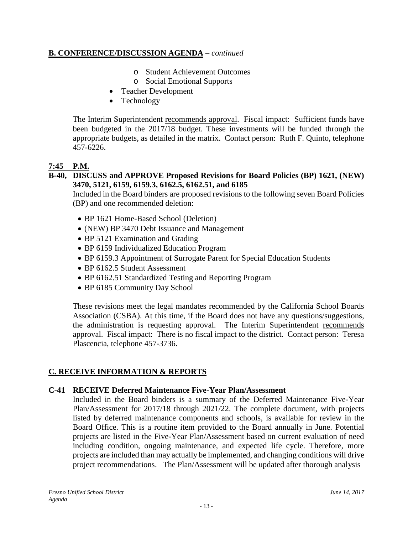## **B. CONFERENCE/DISCUSSION AGENDA** – *continued*

- o Student Achievement Outcomes
- o Social Emotional Supports
- Teacher Development
- Technology

The Interim Superintendent recommends approval. Fiscal impact: Sufficient funds have been budgeted in the 2017/18 budget. These investments will be funded through the appropriate budgets, as detailed in the matrix. Contact person: Ruth F. Quinto, telephone 457-6226.

# **7:45 P.M.**

#### **B-40, DISCUSS and APPROVE Proposed Revisions for Board Policies (BP) 1621, (NEW) 3470, 5121, 6159, 6159.3, 6162.5, 6162.51, and 6185**

Included in the Board binders are proposed revisions to the following seven Board Policies (BP) and one recommended deletion:

- BP 1621 Home-Based School (Deletion)
- (NEW) BP 3470 Debt Issuance and Management
- BP 5121 Examination and Grading
- BP 6159 Individualized Education Program
- BP 6159.3 Appointment of Surrogate Parent for Special Education Students
- BP 6162.5 Student Assessment
- BP 6162.51 Standardized Testing and Reporting Program
- BP 6185 Community Day School

These revisions meet the legal mandates recommended by the California School Boards Association (CSBA). At this time, if the Board does not have any questions/suggestions, the administration is requesting approval. The Interim Superintendent recommends approval. Fiscal impact: There is no fiscal impact to the district. Contact person: Teresa Plascencia, telephone 457-3736.

# **C. RECEIVE INFORMATION & REPORTS**

#### **C-41 RECEIVE Deferred Maintenance Five-Year Plan/Assessment**

Included in the Board binders is a summary of the Deferred Maintenance Five-Year Plan/Assessment for 2017/18 through 2021/22. The complete document, with projects listed by deferred maintenance components and schools, is available for review in the Board Office. This is a routine item provided to the Board annually in June. Potential projects are listed in the Five-Year Plan/Assessment based on current evaluation of need including condition, ongoing maintenance, and expected life cycle. Therefore, more projects are included than may actually be implemented, and changing conditions will drive project recommendations. The Plan/Assessment will be updated after thorough analysis